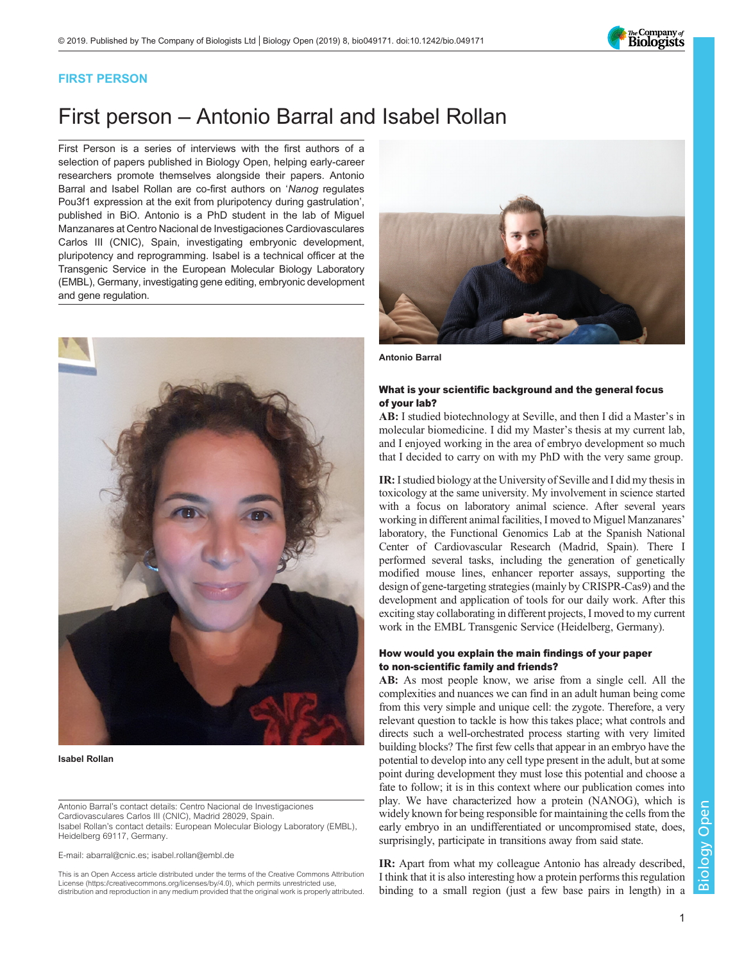The Company of<br>**Biologists** 

### FIRST PERSON

# First person – Antonio Barral and Isabel Rollan

First Person is a series of interviews with the first authors of a selection of papers published in Biology Open, helping early-career researchers promote themselves alongside their papers. Antonio Barral and Isabel Rollan are co-first authors on 'Nanog [regulates](#page-1-0) [Pou3f1 expression at the exit from pluripotency during gastrulation](#page-1-0)', published in BiO. Antonio is a PhD student in the lab of Miguel Manzanares at Centro Nacional de Investigaciones Cardiovasculares Carlos III (CNIC), Spain, investigating embryonic development, pluripotency and reprogramming. Isabel is a technical officer at the Transgenic Service in the European Molecular Biology Laboratory (EMBL), Germany, investigating gene editing, embryonic development and gene regulation.



Isabel Rollan

Antonio Barral's contact details: Centro Nacional de Investigaciones Cardiovasculares Carlos III (CNIC), Madrid 28029, Spain. Isabel Rollan's contact details: European Molecular Biology Laboratory (EMBL), Heidelberg 69117, Germany.

E-mail: [abarral@cnic.es;](mailto:abarral@cnic.es) [isabel.rollan@embl.de](mailto:isabel.rollan@embl.de)

This is an Open Access article distributed under the terms of the Creative Commons Attribution License (https://creativecommons.org/licenses/by/4.0), which permits unrestricted use, distribution and reproduction in any medium provided that the original work is properly attributed.



Antonio Barral

### What is your scientific background and the general focus of your lab?

AB: I studied biotechnology at Seville, and then I did a Master's in molecular biomedicine. I did my Master's thesis at my current lab, and I enjoyed working in the area of embryo development so much that I decided to carry on with my PhD with the very same group.

IR: I studied biology at the University of Seville and I did my thesis in toxicology at the same university. My involvement in science started with a focus on laboratory animal science. After several years working in different animal facilities, I moved to Miguel Manzanares' laboratory, the Functional Genomics Lab at the Spanish National Center of Cardiovascular Research (Madrid, Spain). There I performed several tasks, including the generation of genetically modified mouse lines, enhancer reporter assays, supporting the design of gene-targeting strategies (mainly by CRISPR-Cas9) and the development and application of tools for our daily work. After this exciting stay collaborating in different projects, I moved to my current work in the EMBL Transgenic Service (Heidelberg, Germany).

#### How would you explain the main findings of your paper to non-scientific family and friends?

AB: As most people know, we arise from a single cell. All the complexities and nuances we can find in an adult human being come from this very simple and unique cell: the zygote. Therefore, a very relevant question to tackle is how this takes place; what controls and directs such a well-orchestrated process starting with very limited building blocks? The first few cells that appear in an embryo have the potential to develop into any cell type present in the adult, but at some point during development they must lose this potential and choose a fate to follow; it is in this context where our publication comes into play. We have characterized how a protein (NANOG), which is widely known for being responsible for maintaining the cells from the early embryo in an undifferentiated or uncompromised state, does, surprisingly, participate in transitions away from said state.

IR: Apart from what my colleague Antonio has already described, I think that it is also interesting how a protein performs this regulation binding to a small region (just a few base pairs in length) in a